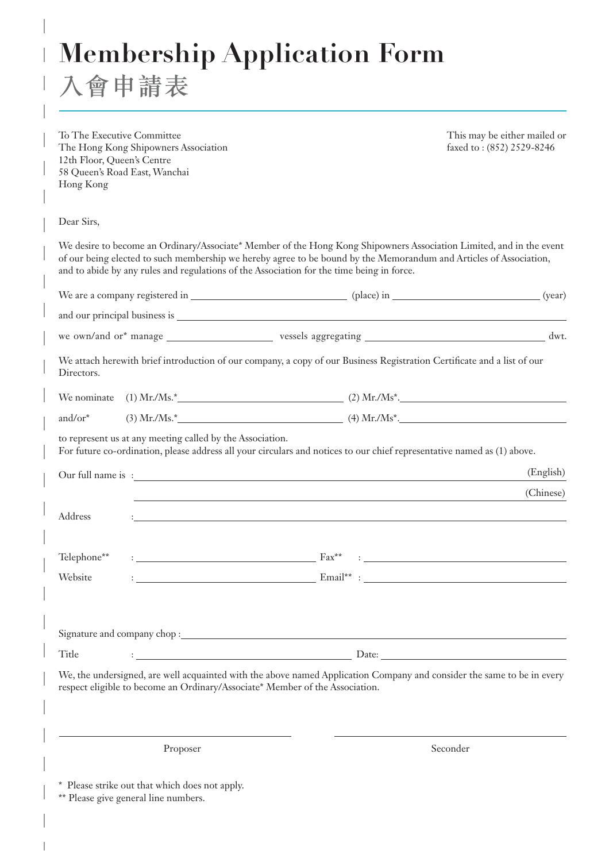**Membership Application Form**

入會申請表

| To The Executive Committee<br>12th Floor, Queen's Centre<br>Hong Kong | The Hong Kong Shipowners Association<br>58 Queen's Road East, Wanchai |                                                                                                                                                                                                                                                                                                                                        | This may be either mailed or<br>faxed to: (852) 2529-8246 |
|-----------------------------------------------------------------------|-----------------------------------------------------------------------|----------------------------------------------------------------------------------------------------------------------------------------------------------------------------------------------------------------------------------------------------------------------------------------------------------------------------------------|-----------------------------------------------------------|
| Dear Sirs,                                                            |                                                                       |                                                                                                                                                                                                                                                                                                                                        |                                                           |
|                                                                       |                                                                       | We desire to become an Ordinary/Associate* Member of the Hong Kong Shipowners Association Limited, and in the event<br>of our being elected to such membership we hereby agree to be bound by the Memorandum and Articles of Association,<br>and to abide by any rules and regulations of the Association for the time being in force. |                                                           |
|                                                                       |                                                                       |                                                                                                                                                                                                                                                                                                                                        |                                                           |
|                                                                       |                                                                       |                                                                                                                                                                                                                                                                                                                                        |                                                           |
|                                                                       |                                                                       |                                                                                                                                                                                                                                                                                                                                        |                                                           |
| Directors.                                                            |                                                                       | We attach herewith brief introduction of our company, a copy of our Business Registration Certificate and a list of our                                                                                                                                                                                                                |                                                           |
|                                                                       |                                                                       |                                                                                                                                                                                                                                                                                                                                        |                                                           |
| and/or*                                                               |                                                                       |                                                                                                                                                                                                                                                                                                                                        |                                                           |
|                                                                       | to represent us at any meeting called by the Association.             | For future co-ordination, please address all your circulars and notices to our chief representative named as (1) above.                                                                                                                                                                                                                |                                                           |
|                                                                       |                                                                       |                                                                                                                                                                                                                                                                                                                                        | (English)                                                 |
| Address                                                               |                                                                       | and the control of the control of the control of the control of the control of the control of the control of the                                                                                                                                                                                                                       | (Chinese)                                                 |
| Telephone**                                                           |                                                                       | $\text{Fax}^{\star\star}$                                                                                                                                                                                                                                                                                                              |                                                           |
| Website                                                               |                                                                       |                                                                                                                                                                                                                                                                                                                                        |                                                           |
|                                                                       |                                                                       |                                                                                                                                                                                                                                                                                                                                        |                                                           |
| Title                                                                 |                                                                       |                                                                                                                                                                                                                                                                                                                                        |                                                           |
|                                                                       |                                                                       | We, the undersigned, are well acquainted with the above named Application Company and consider the same to be in every<br>respect eligible to become an Ordinary/Associate* Member of the Association.                                                                                                                                 |                                                           |
|                                                                       | Proposer                                                              |                                                                                                                                                                                                                                                                                                                                        | Seconder                                                  |

\* Please strike out that which does not apply.

\*\* Please give general line numbers.